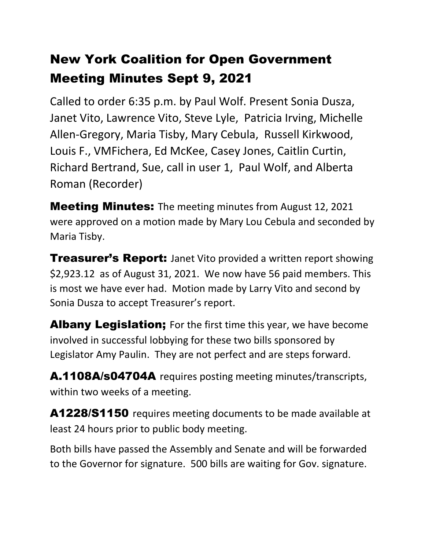# New York Coalition for Open Government Meeting Minutes Sept 9, 2021

Called to order 6:35 p.m. by Paul Wolf. Present Sonia Dusza, Janet Vito, Lawrence Vito, Steve Lyle, Patricia Irving, Michelle Allen-Gregory, Maria Tisby, Mary Cebula, Russell Kirkwood, Louis F., VMFichera, Ed McKee, Casey Jones, Caitlin Curtin, Richard Bertrand, Sue, call in user 1, Paul Wolf, and Alberta Roman (Recorder)

**Meeting Minutes:** The meeting minutes from August 12, 2021 were approved on a motion made by Mary Lou Cebula and seconded by Maria Tisby.

**Treasurer's Report:** Janet Vito provided a written report showing \$2,923.12 as of August 31, 2021. We now have 56 paid members. This is most we have ever had. Motion made by Larry Vito and second by Sonia Dusza to accept Treasurer's report.

Albany Legislation; For the first time this year, we have become involved in successful lobbying for these two bills sponsored by Legislator Amy Paulin. They are not perfect and are steps forward.

A.1108A/s04704A requires posting meeting minutes/transcripts, within two weeks of a meeting.

A1228/S1150 requires meeting documents to be made available at least 24 hours prior to public body meeting.

Both bills have passed the Assembly and Senate and will be forwarded to the Governor for signature. 500 bills are waiting for Gov. signature.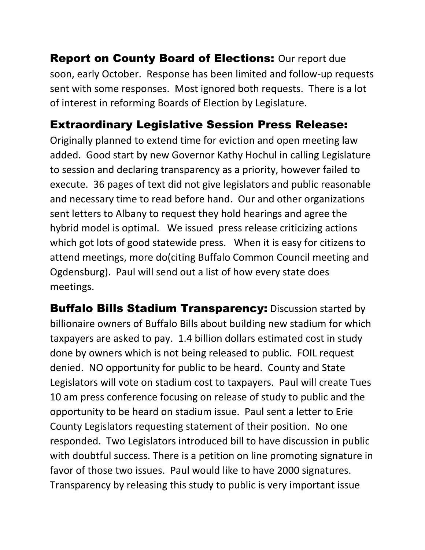**Report on County Board of Elections: Our report due** soon, early October. Response has been limited and follow-up requests sent with some responses. Most ignored both requests. There is a lot of interest in reforming Boards of Election by Legislature.

#### Extraordinary Legislative Session Press Release:

Originally planned to extend time for eviction and open meeting law added. Good start by new Governor Kathy Hochul in calling Legislature to session and declaring transparency as a priority, however failed to execute. 36 pages of text did not give legislators and public reasonable and necessary time to read before hand. Our and other organizations sent letters to Albany to request they hold hearings and agree the hybrid model is optimal. We issued press release criticizing actions which got lots of good statewide press. When it is easy for citizens to attend meetings, more do(citing Buffalo Common Council meeting and Ogdensburg). Paul will send out a list of how every state does meetings.

**Buffalo Bills Stadium Transparency:** Discussion started by billionaire owners of Buffalo Bills about building new stadium for which taxpayers are asked to pay. 1.4 billion dollars estimated cost in study done by owners which is not being released to public. FOIL request denied. NO opportunity for public to be heard. County and State Legislators will vote on stadium cost to taxpayers. Paul will create Tues 10 am press conference focusing on release of study to public and the opportunity to be heard on stadium issue. Paul sent a letter to Erie County Legislators requesting statement of their position. No one responded. Two Legislators introduced bill to have discussion in public with doubtful success. There is a petition on line promoting signature in favor of those two issues. Paul would like to have 2000 signatures. Transparency by releasing this study to public is very important issue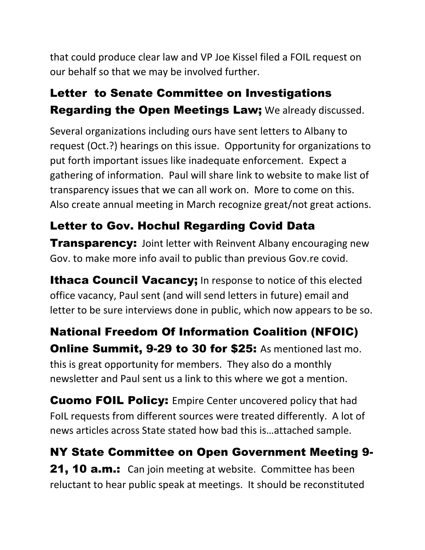that could produce clear law and VP Joe Kissel filed a FOIL request on our behalf so that we may be involved further.

### Letter to Senate Committee on Investigations Regarding the Open Meetings Law; We already discussed.

Several organizations including ours have sent letters to Albany to request (Oct.?) hearings on this issue. Opportunity for organizations to put forth important issues like inadequate enforcement. Expect a gathering of information. Paul will share link to website to make list of transparency issues that we can all work on. More to come on this. Also create annual meeting in March recognize great/not great actions.

## Letter to Gov. Hochul Regarding Covid Data

**Transparency:** Joint letter with Reinvent Albany encouraging new Gov. to make more info avail to public than previous Gov.re covid.

**Ithaca Council Vacancy;** In response to notice of this elected office vacancy, Paul sent (and will send letters in future) email and letter to be sure interviews done in public, which now appears to be so.

National Freedom Of Information Coalition (NFOIC) **Online Summit, 9-29 to 30 for \$25:** As mentioned last mo. this is great opportunity for members. They also do a monthly newsletter and Paul sent us a link to this where we got a mention.

Cuomo FOIL Policy: Empire Center uncovered policy that had FoIL requests from different sources were treated differently. A lot of news articles across State stated how bad this is…attached sample.

NY State Committee on Open Government Meeting 9- **21, 10 a.m.:** Can join meeting at website. Committee has been reluctant to hear public speak at meetings. It should be reconstituted